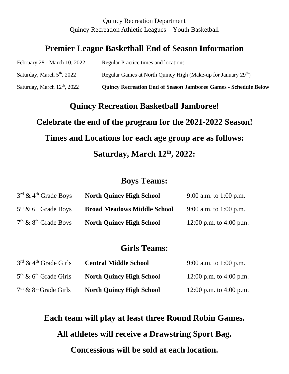#### Quincy Recreation Department Quincy Recreation Athletic Leagues – Youth Basketball

### **Premier League Basketball End of Season Information**

| Saturday, March $12th$ , 2022 | <b>Quincy Recreation End of Season Jamboree Games - Schedule Below</b>     |
|-------------------------------|----------------------------------------------------------------------------|
| Saturday, March $5th$ , 2022  | Regular Games at North Quincy High (Make-up for January 29 <sup>th</sup> ) |
| February 28 - March 10, 2022  | <b>Regular Practice times and locations</b>                                |

# **Quincy Recreation Basketball Jamboree! Celebrate the end of the program for the 2021-2022 Season! Times and Locations for each age group are as follows: Saturday, March 12th, 2022:**

#### **Boys Teams:**

| $3^{rd}$ & 4 <sup>th</sup> Grade Boys | <b>North Quincy High School</b>    | 9:00 a.m. to 1:00 p.m.  |
|---------------------------------------|------------------------------------|-------------------------|
| $5th$ & 6 <sup>th</sup> Grade Boys    | <b>Broad Meadows Middle School</b> | 9:00 a.m. to 1:00 p.m.  |
| $7th$ & $8th$ Grade Boys              | <b>North Quincy High School</b>    | 12:00 p.m. to 4:00 p.m. |

#### **Girls Teams:**

| $3rd$ & 4 <sup>th</sup> Grade Girls | <b>Central Middle School</b>    | 9:00 a.m. to 1:00 p.m.  |
|-------------------------------------|---------------------------------|-------------------------|
| $5th$ & 6 <sup>th</sup> Grade Girls | <b>North Quincy High School</b> | 12:00 p.m. to 4:00 p.m. |
| $7th$ & $8th$ Grade Girls           | <b>North Quincy High School</b> | 12:00 p.m. to 4:00 p.m. |

**Each team will play at least three Round Robin Games.**

**All athletes will receive a Drawstring Sport Bag.**

**Concessions will be sold at each location.**